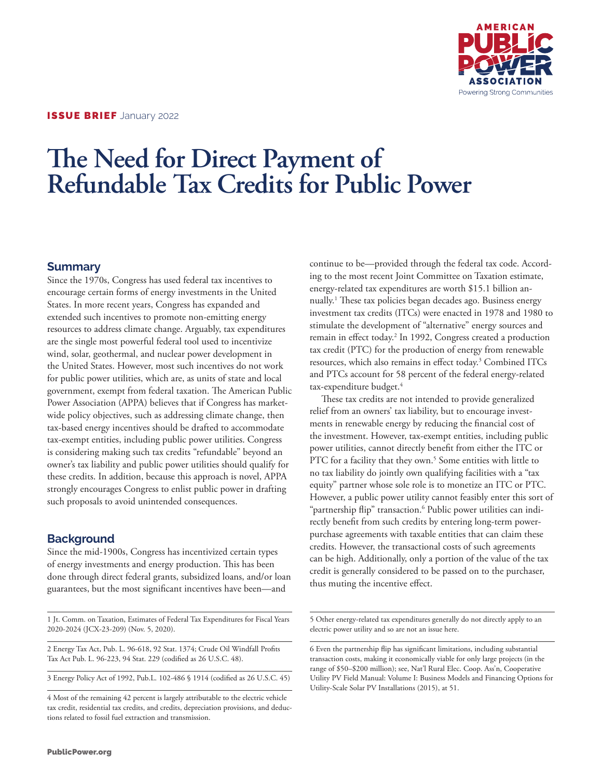

# **The Need for Direct Payment of Refundable Tax Credits for Public Power**

## **Summary**

Since the 1970s, Congress has used federal tax incentives to encourage certain forms of energy investments in the United States. In more recent years, Congress has expanded and extended such incentives to promote non-emitting energy resources to address climate change. Arguably, tax expenditures are the single most powerful federal tool used to incentivize wind, solar, geothermal, and nuclear power development in the United States. However, most such incentives do not work for public power utilities, which are, as units of state and local government, exempt from federal taxation. The American Public Power Association (APPA) believes that if Congress has marketwide policy objectives, such as addressing climate change, then tax-based energy incentives should be drafted to accommodate tax-exempt entities, including public power utilities. Congress is considering making such tax credits "refundable" beyond an owner's tax liability and public power utilities should qualify for these credits. In addition, because this approach is novel, APPA strongly encourages Congress to enlist public power in drafting such proposals to avoid unintended consequences.

## **Background**

Since the mid-1900s, Congress has incentivized certain types of energy investments and energy production. This has been done through direct federal grants, subsidized loans, and/or loan guarantees, but the most significant incentives have been—and

1 Jt. Comm. on Taxation, Estimates of Federal Tax Expenditures for Fiscal Years 2020-2024 (JCX-23-209) (Nov. 5, 2020).

2 Energy Tax Act, Pub. L. 96-618, 92 Stat. 1374; Crude Oil Windfall Profits Tax Act Pub. L. 96-223, 94 Stat. 229 (codified as 26 U.S.C. 48).

3 Energy Policy Act of 1992, Pub.L. 102-486 § 1914 (codified as 26 U.S.C. 45)

4 Most of the remaining 42 percent is largely attributable to the electric vehicle tax credit, residential tax credits, and credits, depreciation provisions, and deductions related to fossil fuel extraction and transmission.

continue to be—provided through the federal tax code. According to the most recent Joint Committee on Taxation estimate, energy-related tax expenditures are worth \$15.1 billion annually.1 These tax policies began decades ago. Business energy investment tax credits (ITCs) were enacted in 1978 and 1980 to stimulate the development of "alternative" energy sources and remain in effect today.<sup>2</sup> In 1992, Congress created a production tax credit (PTC) for the production of energy from renewable resources, which also remains in effect today.<sup>3</sup> Combined ITCs and PTCs account for 58 percent of the federal energy-related tax-expenditure budget.<sup>4</sup>

These tax credits are not intended to provide generalized relief from an owners' tax liability, but to encourage investments in renewable energy by reducing the financial cost of the investment. However, tax-exempt entities, including public power utilities, cannot directly benefit from either the ITC or PTC for a facility that they own.<sup>5</sup> Some entities with little to no tax liability do jointly own qualifying facilities with a "tax equity" partner whose sole role is to monetize an ITC or PTC. However, a public power utility cannot feasibly enter this sort of "partnership flip" transaction.6 Public power utilities can indirectly benefit from such credits by entering long-term powerpurchase agreements with taxable entities that can claim these credits. However, the transactional costs of such agreements can be high. Additionally, only a portion of the value of the tax credit is generally considered to be passed on to the purchaser, thus muting the incentive effect.

5 Other energy-related tax expenditures generally do not directly apply to an electric power utility and so are not an issue here.

6 Even the partnership flip has significant limitations, including substantial transaction costs, making it economically viable for only large projects (in the range of \$50–\$200 million); see, Nat'l Rural Elec. Coop. Ass'n, Cooperative Utility PV Field Manual: Volume I: Business Models and Financing Options for Utility-Scale Solar PV Installations (2015), at 51.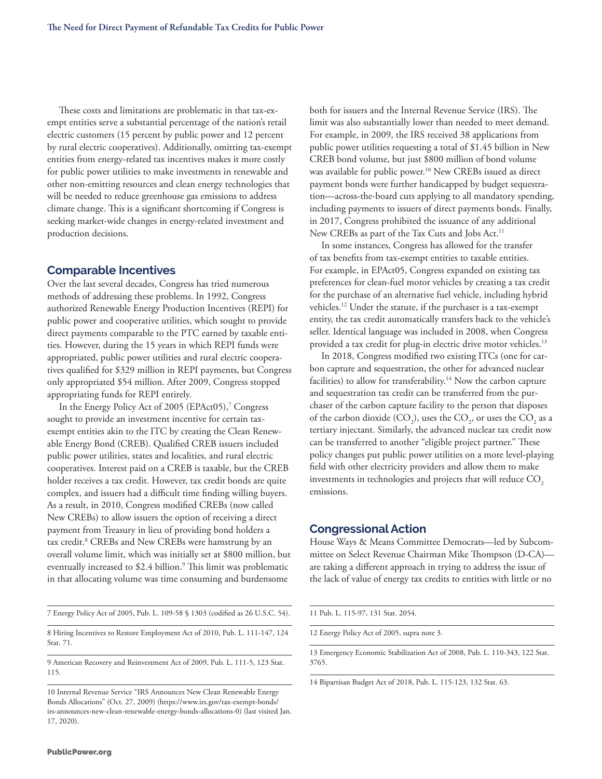These costs and limitations are problematic in that tax-exempt entities serve a substantial percentage of the nation's retail electric customers (15 percent by public power and 12 percent by rural electric cooperatives). Additionally, omitting tax-exempt entities from energy-related tax incentives makes it more costly for public power utilities to make investments in renewable and other non-emitting resources and clean energy technologies that will be needed to reduce greenhouse gas emissions to address climate change. This is a significant shortcoming if Congress is seeking market-wide changes in energy-related investment and production decisions.

#### **Comparable Incentives**

Over the last several decades, Congress has tried numerous methods of addressing these problems. In 1992, Congress authorized Renewable Energy Production Incentives (REPI) for public power and cooperative utilities, which sought to provide direct payments comparable to the PTC earned by taxable entities. However, during the 15 years in which REPI funds were appropriated, public power utilities and rural electric cooperatives qualified for \$329 million in REPI payments, but Congress only appropriated \$54 million. After 2009, Congress stopped appropriating funds for REPI entirely.

In the Energy Policy Act of 2005 (EPAct05),<sup>7</sup> Congress sought to provide an investment incentive for certain taxexempt entities akin to the ITC by creating the Clean Renewable Energy Bond (CREB). Qualified CREB issuers included public power utilities, states and localities, and rural electric cooperatives. Interest paid on a CREB is taxable, but the CREB holder receives a tax credit. However, tax credit bonds are quite complex, and issuers had a difficult time finding willing buyers. As a result, in 2010, Congress modified CREBs (now called New CREBs) to allow issuers the option of receiving a direct payment from Treasury in lieu of providing bond holders a tax credit.<sup>8</sup> CREBs and New CREBs were hamstrung by an overall volume limit, which was initially set at \$800 million, but eventually increased to \$2.4 billion.<sup>9</sup> This limit was problematic in that allocating volume was time consuming and burdensome

7 Energy Policy Act of 2005, Pub. L. 109-58 § 1303 (codified as 26 U.S.C. 54).

8 Hiring Incentives to Restore Employment Act of 2010, Pub. L. 111-147, 124 Stat. 71.

9 American Recovery and Reinvestment Act of 2009, Pub. L. 111-5, 123 Stat. 115.

10 Internal Revenue Service "IRS Announces New Clean Renewable Energy Bonds Allocations" (Oct. 27, 2009) (https://www.irs.gov/tax-exempt-bonds/ irs-announces-new-clean-renewable-energy-bonds-allocations-0) (last visited Jan. 17, 2020).

both for issuers and the Internal Revenue Service (IRS). The limit was also substantially lower than needed to meet demand. For example, in 2009, the IRS received 38 applications from public power utilities requesting a total of \$1.45 billion in New CREB bond volume, but just \$800 million of bond volume was available for public power.<sup>10</sup> New CREBs issued as direct payment bonds were further handicapped by budget sequestration—across-the-board cuts applying to all mandatory spending, including payments to issuers of direct payments bonds. Finally, in 2017, Congress prohibited the issuance of any additional New CREBs as part of the Tax Cuts and Jobs Act.<sup>11</sup>

In some instances, Congress has allowed for the transfer of tax benefits from tax-exempt entities to taxable entities. For example, in EPAct05, Congress expanded on existing tax preferences for clean-fuel motor vehicles by creating a tax credit for the purchase of an alternative fuel vehicle, including hybrid vehicles.12 Under the statute, if the purchaser is a tax-exempt entity, the tax credit automatically transfers back to the vehicle's seller. Identical language was included in 2008, when Congress provided a tax credit for plug-in electric drive motor vehicles.<sup>13</sup>

In 2018, Congress modified two existing ITCs (one for carbon capture and sequestration, the other for advanced nuclear facilities) to allow for transferability.<sup>14</sup> Now the carbon capture and sequestration tax credit can be transferred from the purchaser of the carbon capture facility to the person that disposes of the carbon dioxide (CO<sub>2</sub>), uses the CO<sub>2</sub>, or uses the CO<sub>2</sub> as a tertiary injectant. Similarly, the advanced nuclear tax credit now can be transferred to another "eligible project partner." These policy changes put public power utilities on a more level-playing field with other electricity providers and allow them to make investments in technologies and projects that will reduce  $\mathrm{CO}_\mathrm{2}$ emissions.

#### **Congressional Action**

House Ways & Means Committee Democrats—led by Subcommittee on Select Revenue Chairman Mike Thompson (D-CA) are taking a different approach in trying to address the issue of the lack of value of energy tax credits to entities with little or no

| 11 Pub. L. 115-97, 131 Stat. 2054. |  |  |  |  |
|------------------------------------|--|--|--|--|
|------------------------------------|--|--|--|--|

12 Energy Policy Act of 2005, supra note 3.

13 Emergency Economic Stabilization Act of 2008, Pub. L. 110-343, 122 Stat. 3765.

14 Bipartisan Budget Act of 2018, Pub. L. 115-123, 132 Stat. 63.